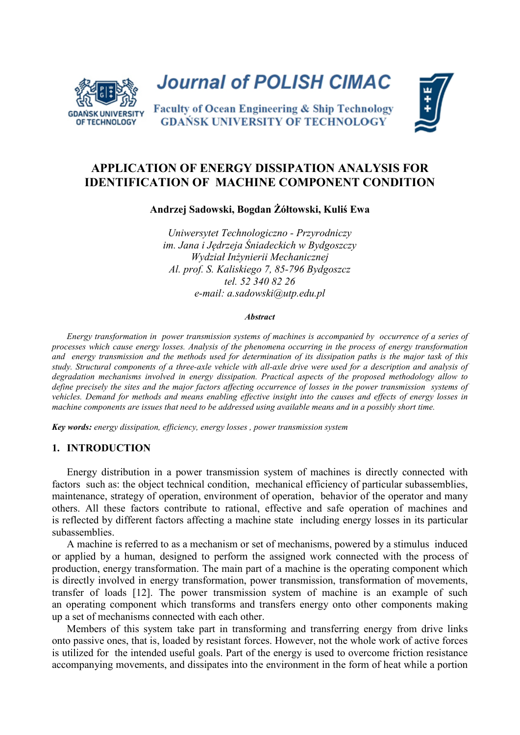

**Journal of POLISH CIMAC** 

Faculty of Ocean Engineering & Ship Technology **GDAŃSK UNIVERSITY OF TECHNOLOGY** 



# **APPLICATION OF ENERGY DISSIPATION ANALYSIS FOR IDENTIFICATION OF MACHINE COMPONENT CONDITION**

**Andrzej Sadowski, Bogdan Żółtowski, Kuliś Ewa**

*Uniwersytet Technologiczno - Przyrodniczy im. Jana i Jędrzeja Śniadeckich w Bydgoszczy Wydział Inżynierii Mechanicznej Al. prof. S. Kaliskiego 7, 85-796 Bydgoszcz tel. 52 340 82 26 e-mail: a.sadowski@utp.edu.pl*

#### *Abstract*

*Energy transformation in power transmission systems of machines is accompanied by occurrence of a series of processes which cause energy losses. Analysis of the phenomena occurring in the process of energy transformation and energy transmission and the methods used for determination of its dissipation paths is the major task of this study. Structural components of a three-axle vehicle with all-axle drive were used for a description and analysis of degradation mechanisms involved in energy dissipation. Practical aspects of the proposed methodology allow to define precisely the sites and the major factors affecting occurrence of losses in the power transmission systems of vehicles. Demand for methods and means enabling effective insight into the causes and effects of energy losses in machine components are issues that need to be addressed using available means and in a possibly short time.* 

*Key words: energy dissipation, efficiency, energy losses , power transmission system* 

#### **1. INTRODUCTION**

Energy distribution in a power transmission system of machines is directly connected with factors such as: the object technical condition, mechanical efficiency of particular subassemblies, maintenance, strategy of operation, environment of operation, behavior of the operator and many others. All these factors contribute to rational, effective and safe operation of machines and is reflected by different factors affecting a machine state including energy losses in its particular subassemblies.

A machine is referred to as a mechanism or set of mechanisms, powered by a stimulus induced or applied by a human, designed to perform the assigned work connected with the process of production, energy transformation. The main part of a machine is the operating component which is directly involved in energy transformation, power transmission, transformation of movements, transfer of loads [12]. The power transmission system of machine is an example of such an operating component which transforms and transfers energy onto other components making up a set of mechanisms connected with each other.

Members of this system take part in transforming and transferring energy from drive links onto passive ones, that is, loaded by resistant forces. However, not the whole work of active forces is utilized for the intended useful goals. Part of the energy is used to overcome friction resistance accompanying movements, and dissipates into the environment in the form of heat while a portion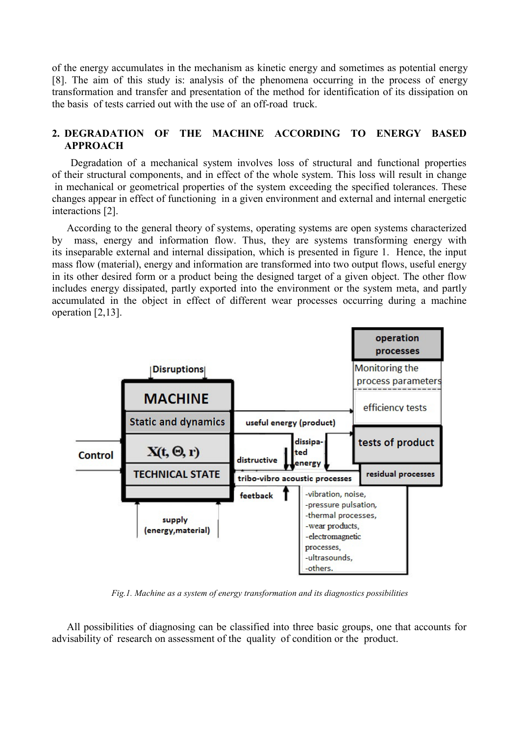of the energy accumulates in the mechanism as kinetic energy and sometimes as potential energy [8]. The aim of this study is: analysis of the phenomena occurring in the process of energy transformation and transfer and presentation of the method for identification of its dissipation on the basis of tests carried out with the use of an off-road truck.

# **2. DEGRADATION OF THE MACHINE ACCORDING TO ENERGY BASED APPROACH**

Degradation of a mechanical system involves loss of structural and functional properties of their structural components, and in effect of the whole system. This loss will result in change in mechanical or geometrical properties of the system exceeding the specified tolerances. These changes appear in effect of functioning in a given environment and external and internal energetic interactions [2].

According to the general theory of systems, operating systems are open systems characterized by mass, energy and information flow. Thus, they are systems transforming energy with its inseparable external and internal dissipation, which is presented in figure 1. Hence, the input mass flow (material), energy and information are transformed into two output flows, useful energy in its other desired form or a product being the designed target of a given object. The other flow includes energy dissipated, partly exported into the environment or the system meta, and partly accumulated in the object in effect of different wear processes occurring during a machine operation [2,13].



*Fig.1. Machine as a system of energy transformation and its diagnostics possibilities* 

All possibilities of diagnosing can be classified into three basic groups, one that accounts for advisability of research on assessment of the quality of condition or the product.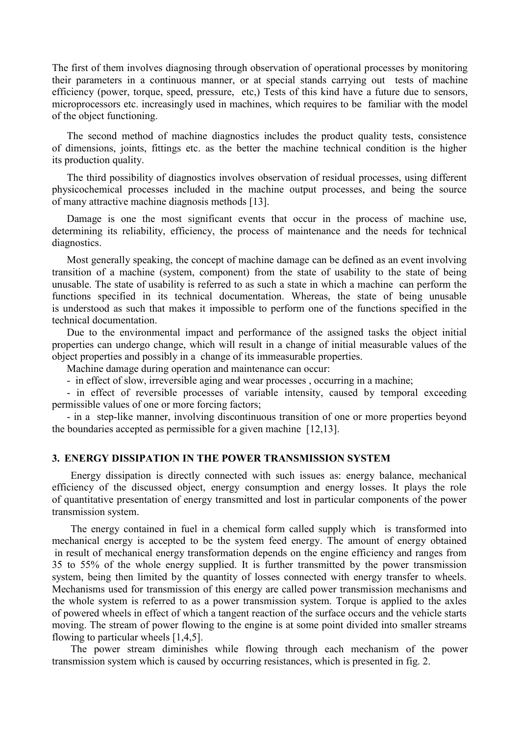The first of them involves diagnosing through observation of operational processes by monitoring their parameters in a continuous manner, or at special stands carrying out tests of machine efficiency (power, torque, speed, pressure, etc,) Tests of this kind have a future due to sensors, microprocessors etc. increasingly used in machines, which requires to be familiar with the model of the object functioning.

The second method of machine diagnostics includes the product quality tests, consistence of dimensions, joints, fittings etc. as the better the machine technical condition is the higher its production quality.

The third possibility of diagnostics involves observation of residual processes, using different physicochemical processes included in the machine output processes, and being the source of many attractive machine diagnosis methods [13].

Damage is one the most significant events that occur in the process of machine use, determining its reliability, efficiency, the process of maintenance and the needs for technical diagnostics.

Most generally speaking, the concept of machine damage can be defined as an event involving transition of a machine (system, component) from the state of usability to the state of being unusable. The state of usability is referred to as such a state in which a machine can perform the functions specified in its technical documentation. Whereas, the state of being unusable is understood as such that makes it impossible to perform one of the functions specified in the technical documentation.

Due to the environmental impact and performance of the assigned tasks the object initial properties can undergo change, which will result in a change of initial measurable values of the object properties and possibly in a change of its immeasurable properties.

Machine damage during operation and maintenance can occur:

- in effect of slow, irreversible aging and wear processes , occurring in a machine;

- in effect of reversible processes of variable intensity, caused by temporal exceeding permissible values of one or more forcing factors;

- in a step-like manner, involving discontinuous transition of one or more properties beyond the boundaries accepted as permissible for a given machine [12,13].

#### **3. ENERGY DISSIPATION IN THE POWER TRANSMISSION SYSTEM**

Energy dissipation is directly connected with such issues as: energy balance, mechanical efficiency of the discussed object, energy consumption and energy losses. It plays the role of quantitative presentation of energy transmitted and lost in particular components of the power transmission system.

The energy contained in fuel in a chemical form called supply which is transformed into mechanical energy is accepted to be the system feed energy. The amount of energy obtained in result of mechanical energy transformation depends on the engine efficiency and ranges from 35 to 55% of the whole energy supplied. It is further transmitted by the power transmission system, being then limited by the quantity of losses connected with energy transfer to wheels. Mechanisms used for transmission of this energy are called power transmission mechanisms and the whole system is referred to as a power transmission system. Torque is applied to the axles of powered wheels in effect of which a tangent reaction of the surface occurs and the vehicle starts moving. The stream of power flowing to the engine is at some point divided into smaller streams flowing to particular wheels [1,4,5].

The power stream diminishes while flowing through each mechanism of the power transmission system which is caused by occurring resistances, which is presented in fig. 2.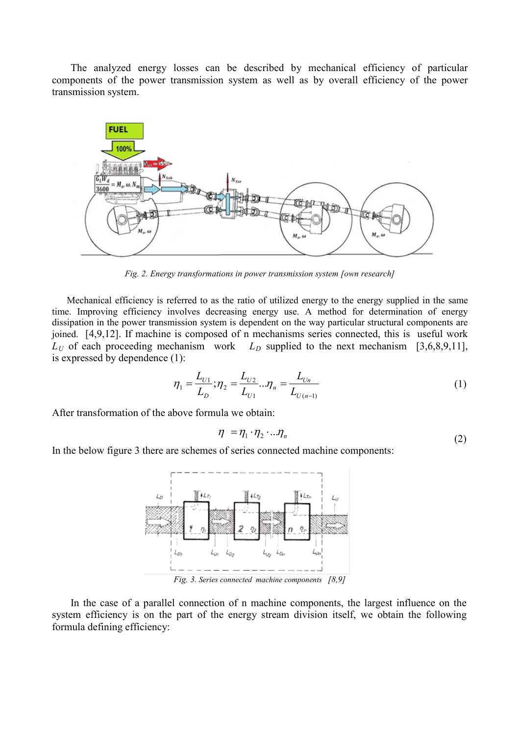The analyzed energy losses can be described by mechanical efficiency of particular components of the power transmission system as well as by overall efficiency of the power transmission system.



*Fig. 2. Energy transformations in power transmission system [own research]*

Mechanical efficiency is referred to as the ratio of utilized energy to the energy supplied in the same time. Improving efficiency involves decreasing energy use. A method for determination of energy dissipation in the power transmission system is dependent on the way particular structural components are joined. [4,9,12]. If machine is composed of n mechanisms series connected, this is useful work  $L_U$  of each proceeding mechanism work  $L_D$  supplied to the next mechanism [3,6,8,9,11], is expressed by dependence (1):

$$
\eta_1 = \frac{L_{U1}}{L_D}; \eta_2 = \frac{L_{U2}}{L_{U1}}... \eta_n = \frac{L_{Un}}{L_{U(n-1)}}
$$
(1)

After transformation of the above formula we obtain:

$$
\eta = \eta_1 \cdot \eta_2 \cdot \ldots \eta_n \tag{2}
$$

In the below figure 3 there are schemes of series connected machine components:



In the case of a parallel connection of n machine components, the largest influence on the system efficiency is on the part of the energy stream division itself, we obtain the following formula defining efficiency: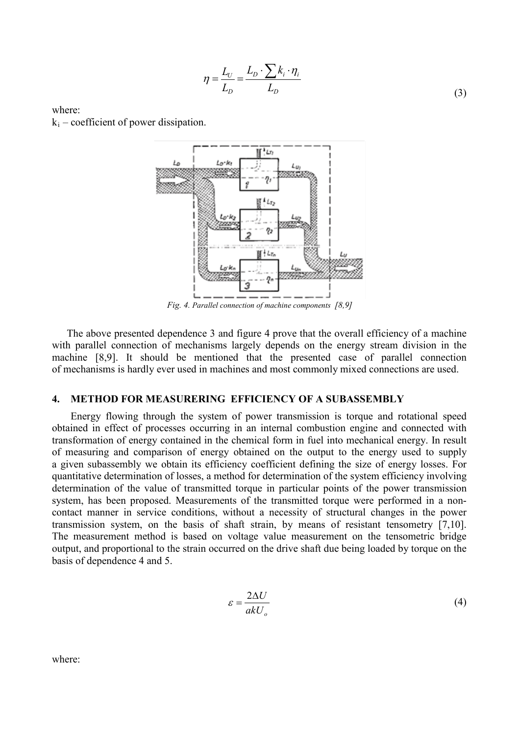$$
\eta = \frac{L_U}{L_D} = \frac{L_D \cdot \sum k_i \cdot \eta_i}{L_D} \tag{3}
$$

where:  $k_i$  – coefficient of power dissipation.



The above presented dependence 3 and figure 4 prove that the overall efficiency of a machine with parallel connection of mechanisms largely depends on the energy stream division in the machine [8,9]. It should be mentioned that the presented case of parallel connection of mechanisms is hardly ever used in machines and most commonly mixed connections are used.

#### **4. METHOD FOR MEASURERING EFFICIENCY OF A SUBASSEMBLY**

Energy flowing through the system of power transmission is torque and rotational speed obtained in effect of processes occurring in an internal combustion engine and connected with transformation of energy contained in the chemical form in fuel into mechanical energy. In result of measuring and comparison of energy obtained on the output to the energy used to supply a given subassembly we obtain its efficiency coefficient defining the size of energy losses. For quantitative determination of losses, a method for determination of the system efficiency involving determination of the value of transmitted torque in particular points of the power transmission system, has been proposed. Measurements of the transmitted torque were performed in a noncontact manner in service conditions, without a necessity of structural changes in the power transmission system, on the basis of shaft strain, by means of resistant tensometry [7,10]. The measurement method is based on voltage value measurement on the tensometric bridge output, and proportional to the strain occurred on the drive shaft due being loaded by torque on the basis of dependence 4 and 5.

$$
\varepsilon = \frac{2\Delta U}{akU_o} \tag{4}
$$

where: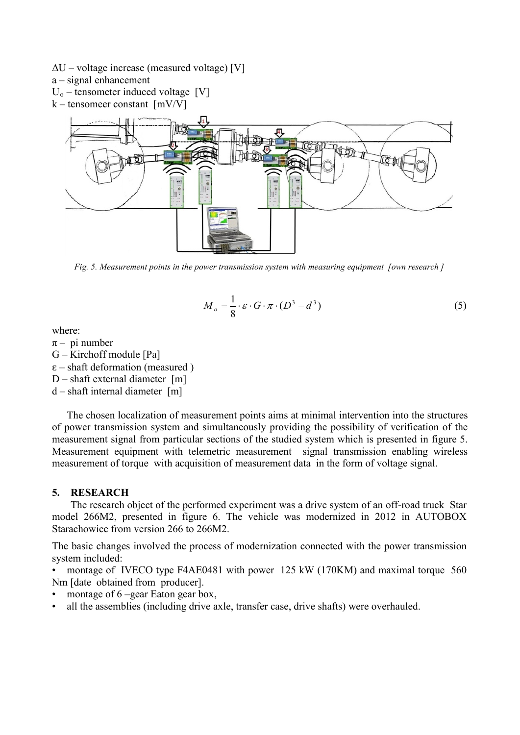- $\Delta U$  voltage increase (measured voltage) [V]
- a signal enhancement
- $U_0$  tensometer induced voltage [V]
- k tensomeer constant [mV/V]



*Fig. 5. Measurement points in the power transmission system with measuring equipment [own research ]*

$$
M_o = \frac{1}{8} \cdot \varepsilon \cdot G \cdot \pi \cdot (D^3 - d^3) \tag{5}
$$

where:

- $\pi$  pi number
- G Kirchoff module [Pa]
- $\epsilon$  shaft deformation (measured)
- $D$  shaft external diameter [m]
- d shaft internal diameter [m]

The chosen localization of measurement points aims at minimal intervention into the structures of power transmission system and simultaneously providing the possibility of verification of the measurement signal from particular sections of the studied system which is presented in figure 5. Measurement equipment with telemetric measurement signal transmission enabling wireless measurement of torque with acquisition of measurement data in the form of voltage signal.

# **5. RESEARCH**

The research object of the performed experiment was a drive system of an off-road truck Star model 266M2, presented in figure 6. The vehicle was modernized in 2012 in AUTOBOX Starachowice from version 266 to 266M2.

The basic changes involved the process of modernization connected with the power transmission system included:

• montage of IVECO type F4AE0481 with power 125 kW (170KM) and maximal torque 560 Nm [date obtained from producer].

- montage of 6 –gear Eaton gear box,
- all the assemblies (including drive axle, transfer case, drive shafts) were overhauled.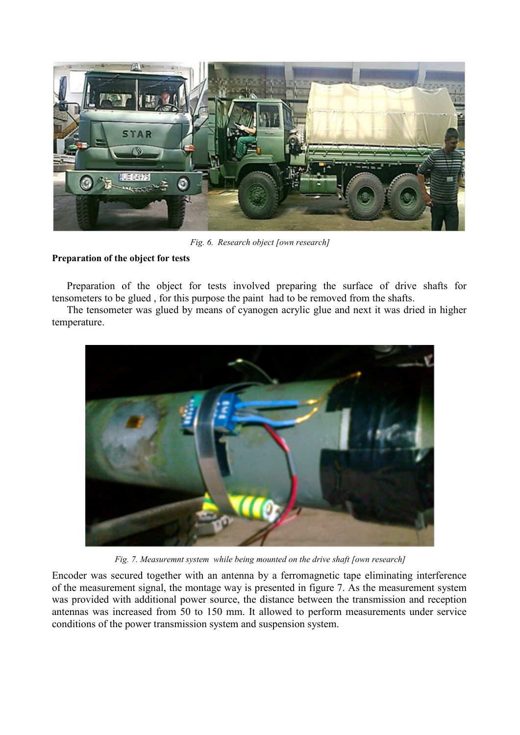

*Fig. 6. Research object [own research]*

# **Preparation of the object for tests**

Preparation of the object for tests involved preparing the surface of drive shafts for tensometers to be glued , for this purpose the paint had to be removed from the shafts.

The tensometer was glued by means of cyanogen acrylic glue and next it was dried in higher temperature.



*Fig. 7. Measuremnt system while being mounted on the drive shaft [own research]*

Encoder was secured together with an antenna by a ferromagnetic tape eliminating interference of the measurement signal, the montage way is presented in figure 7. As the measurement system was provided with additional power source, the distance between the transmission and reception antennas was increased from 50 to 150 mm. It allowed to perform measurements under service conditions of the power transmission system and suspension system.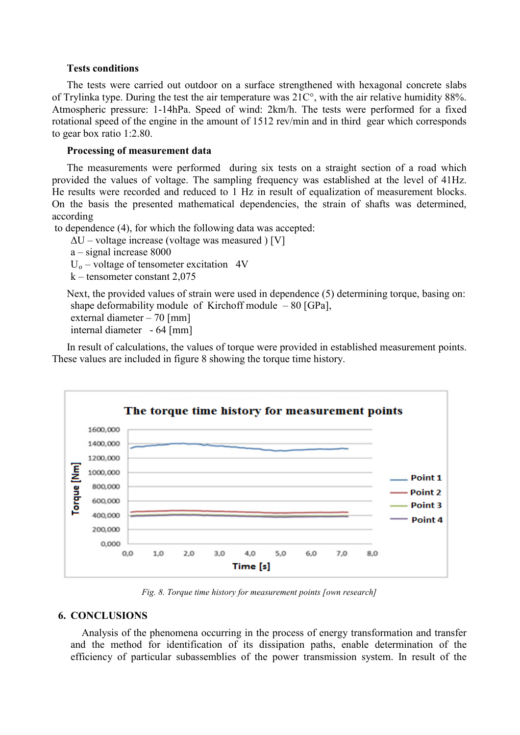## **Tests conditions**

The tests were carried out outdoor on a surface strengthened with hexagonal concrete slabs of Trylinka type. During the test the air temperature was 21C°, with the air relative humidity 88%. Atmospheric pressure: 1-14hPa. Speed of wind: 2km/h. The tests were performed for a fixed rotational speed of the engine in the amount of 1512 rev/min and in third gear which corresponds to gear box ratio 1:2.80.

## **Processing of measurement data**

The measurements were performed during six tests on a straight section of a road which provided the values of voltage. The sampling frequency was established at the level of 41Hz. He results were recorded and reduced to 1 Hz in result of equalization of measurement blocks. On the basis the presented mathematical dependencies, the strain of shafts was determined, according

to dependence (4), for which the following data was accepted:

 $\Delta U$  – voltage increase (voltage was measured ) [V]

a – signal increase 8000

 $U_0$  – voltage of tensometer excitation 4V

k – tensometer constant 2,075

Next, the provided values of strain were used in dependence (5) determining torque, basing on: shape deformability module of Kirchoff module  $-80$  [GPa], external diameter – 70 [mm]

```
internal diameter - 64 [mm]
```
In result of calculations, the values of torque were provided in established measurement points. These values are included in figure 8 showing the torque time history.



*Fig. 8. Torque time history for measurement points [own research]*

# **6. CONCLUSIONS**

Analysis of the phenomena occurring in the process of energy transformation and transfer and the method for identification of its dissipation paths, enable determination of the efficiency of particular subassemblies of the power transmission system. In result of the